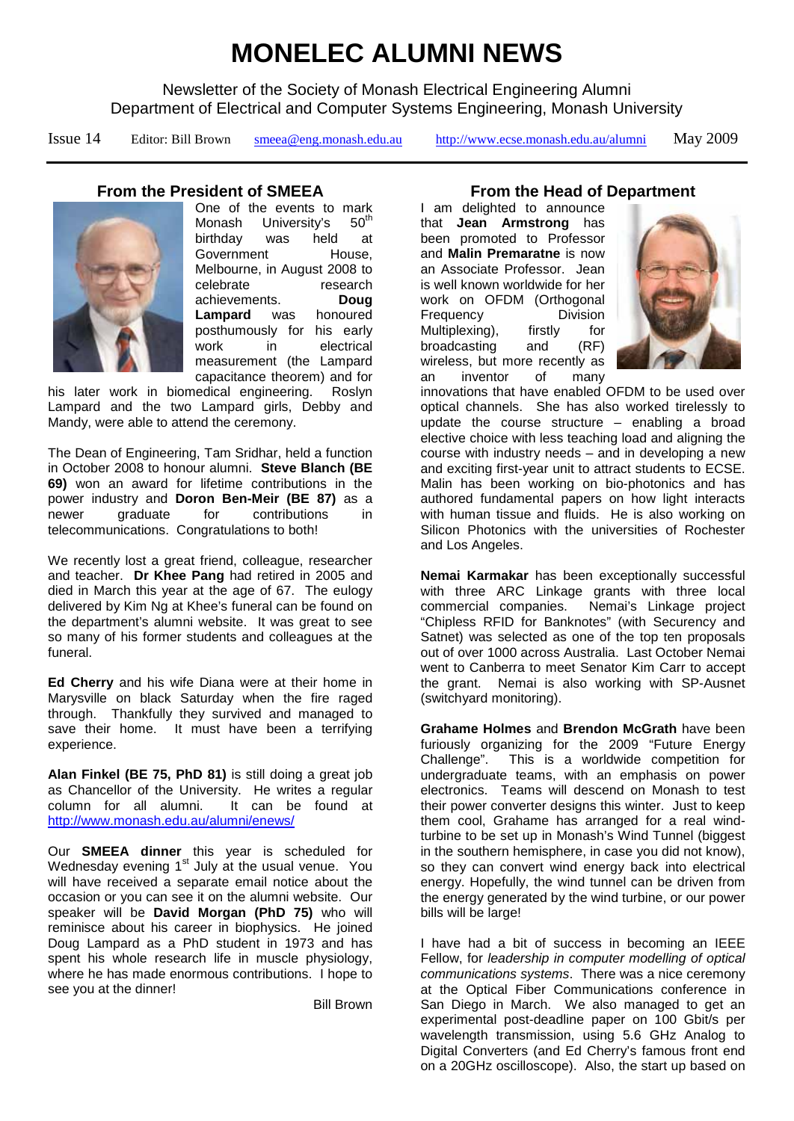# **MONELEC ALUMNI NEWS**

Newsletter of the Society of Monash Electrical Engineering Alumni Department of Electrical and Computer Systems Engineering, Monash University

Issue 14 Editor: Bill Brown [smeea@eng.monash.edu.au](mailto:bill.brown@eng.monash.edu.au) <http://www.ecse.monash.edu.au/alumni> May 2009

### **From the President of SMEEA**



One of the events to mark<br>Monash University's 50<sup>th</sup> University's birthday was held at<br>Government House. Government Melbourne, in August 2008 to celebrate research<br>achievements. Doug achievements. **Doug Lampard** was posthumously for his early<br>work in electrical in electrical measurement (the Lampard capacitance theorem) and for

his later work in biomedical engineering. Roslyn Lampard and the two Lampard girls, Debby and Mandy, were able to attend the ceremony.

The Dean of Engineering, Tam Sridhar, held a function in October 2008 to honour alumni. **Steve Blanch (BE 69)** won an award for lifetime contributions in the power industry and **Doron Ben-Meir (BE 87)** as a newer graduate for contributions in telecommunications. Congratulations to both!

We recently lost a great friend, colleague, researcher and teacher. **Dr Khee Pang** had retired in 2005 and died in March this year at the age of 67. The eulogy delivered by Kim Ng at Khee's funeral can be found on the department's alumni website. It was great to see so many of his former students and colleagues at the funeral.

**Ed Cherry** and his wife Diana were at their home in Marysville on black Saturday when the fire raged through. Thankfully they survived and managed to save their home. It must have been a terrifying experience.

**Alan Finkel (BE 75, PhD 81)** is still doing a great job as Chancellor of the University. He writes a regular column for all alumni. It can be found at <http://www.monash.edu.au/alumni/enews/>

Our **SMEEA dinner** this year is scheduled for Using Dinney Community and your the concealed for-<br>Wednesday evening 1<sup>st</sup> July at the usual venue. You will have received a separate email notice about the occasion or you can see it on the alumni website. Our speaker will be **David Morgan (PhD 75)** who will reminisce about his career in biophysics. He joined Doug Lampard as a PhD student in 1973 and has spent his whole research life in muscle physiology, where he has made enormous contributions. I hope to see you at the dinner!

Bill Brown

#### **From the Head of Department**

I am delighted to announce that **Jean Armstrong** has been promoted to Professor and **Malin Premaratne** is now an Associate Professor. Jean is well known worldwide for her work on OFDM (Orthogonal<br>Frequency Division Frequency Multiplexing), firstly for<br>broadcasting and (RF) broadcasting wireless, but more recently as an inventor of many



innovations that have enabled OFDM to be used over optical channels. She has also worked tirelessly to update the course structure – enabling a broad elective choice with less teaching load and aligning the course with industry needs – and in developing a new and exciting first-year unit to attract students to ECSE. Malin has been working on bio-photonics and has authored fundamental papers on how light interacts with human tissue and fluids. He is also working on Silicon Photonics with the universities of Rochester and Los Angeles.

**Nemai Karmakar** has been exceptionally successful with three ARC Linkage grants with three local<br>commercial companies. Nemai's Linkage project Nemai's Linkage project "Chipless RFID for Banknotes" (with Securency and Satnet) was selected as one of the top ten proposals out of over 1000 across Australia. Last October Nemai went to Canberra to meet Senator Kim Carr to accept the grant. Nemai is also working with SP-Ausnet (switchyard monitoring).

**Grahame Holmes** and **Brendon McGrath** have been furiously organizing for the 2009 "Future Energy Challenge". This is a worldwide competition for undergraduate teams, with an emphasis on power electronics. Teams will descend on Monash to test their power converter designs this winter. Just to keep them cool, Grahame has arranged for a real windturbine to be set up in Monash's Wind Tunnel (biggest in the southern hemisphere, in case you did not know), so they can convert wind energy back into electrical energy. Hopefully, the wind tunnel can be driven from the energy generated by the wind turbine, or our power bills will be large!

I have had a bit of success in becoming an IEEE Fellow, for *leadership in computer modelling of optical communications systems*. There was a nice ceremony at the Optical Fiber Communications conference in San Diego in March. We also managed to get an experimental post-deadline paper on 100 Gbit/s per wavelength transmission, using 5.6 GHz Analog to Digital Converters (and Ed Cherry's famous front end on a 20GHz oscilloscope). Also, the start up based on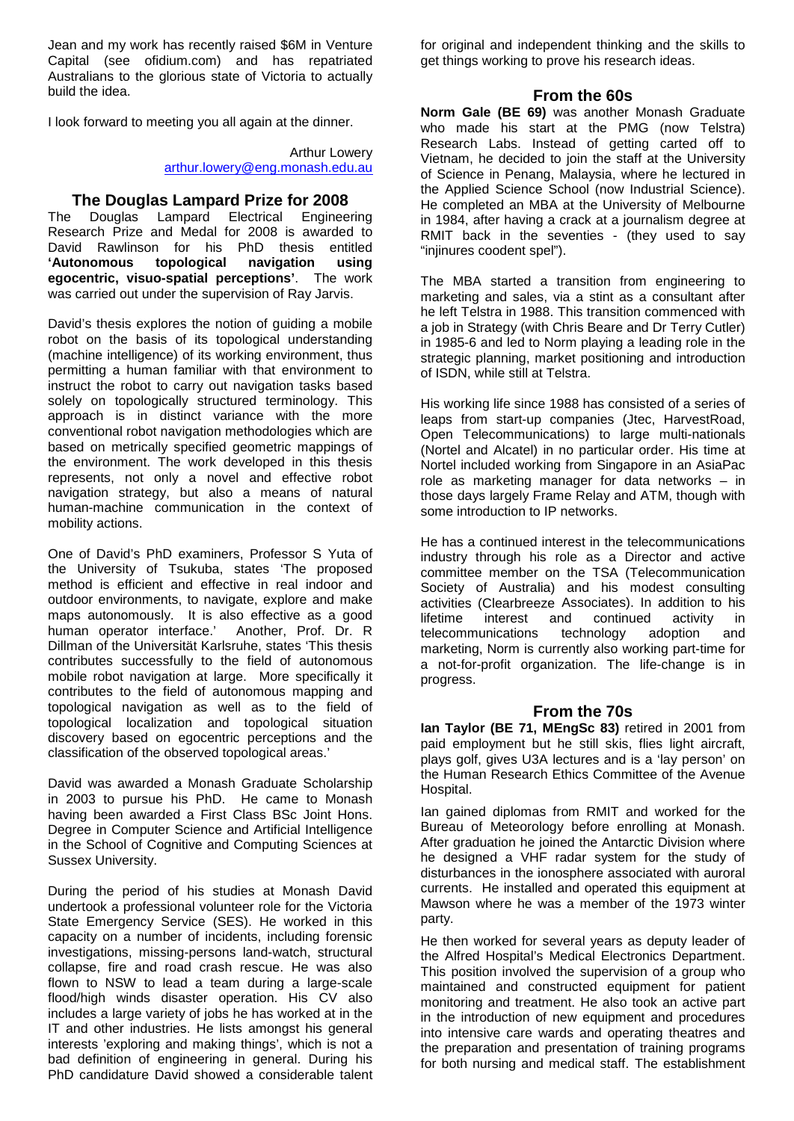Jean and my work has recently raised \$6M in Venture Capital (see ofidium.com) and has repatriated Australians to the glorious state of Victoria to actually build the idea.

I look forward to meeting you all again at the dinner.

Arthur Lowery [arthur.lowery@eng.monash.edu.au](mailto:arthur.lowery@eng.monash.edu.au)

## **The Douglas Lampard Prize for 2008**<br>Douglas Lampard Electrical Enginee

The Douglas Lampard Electrical Engineering Research Prize and Medal for 2008 is awarded to David Rawlinson for his PhD thesis entitled<br>'Autonomous topological navigation using **'Autonomous egocentric, visuo-spatial perceptions'**. The work was carried out under the supervision of Ray Jarvis.

David's thesis explores the notion of guiding a mobile robot on the basis of its topological understanding (machine intelligence) of its working environment, thus permitting a human familiar with that environment to instruct the robot to carry out navigation tasks based solely on topologically structured terminology. This approach is in distinct variance with the more conventional robot navigation methodologies which are based on metrically specified geometric mappings of the environment. The work developed in this thesis represents, not only a novel and effective robot navigation strategy, but also a means of natural human-machine communication in the context of mobility actions.

One of David's PhD examiners, Professor S Yuta of the University of Tsukuba, states 'The proposed method is efficient and effective in real indoor and outdoor environments, to navigate, explore and make maps autonomously. It is also effective as a good human operator interface.' Another, Prof. Dr. R Dillman of the Universität Karlsruhe, states 'This thesis contributes successfully to the field of autonomous mobile robot navigation at large. More specifically it contributes to the field of autonomous mapping and topological navigation as well as to the field of topological localization and topological situation discovery based on egocentric perceptions and the classification of the observed topological areas.'

David was awarded a Monash Graduate Scholarship in 2003 to pursue his PhD. He came to Monash having been awarded a First Class BSc Joint Hons. Degree in Computer Science and Artificial Intelligence in the School of Cognitive and Computing Sciences at Sussex University.

During the period of his studies at Monash David undertook a professional volunteer role for the Victoria State Emergency Service (SES). He worked in this capacity on a number of incidents, including forensic investigations, missing-persons land-watch, structural collapse, fire and road crash rescue. He was also flown to NSW to lead a team during a large-scale flood/high winds disaster operation. His CV also includes a large variety of jobs he has worked at in the IT and other industries. He lists amongst his general interests 'exploring and making things', which is not a bad definition of engineering in general. During his PhD candidature David showed a considerable talent for original and independent thinking and the skills to get things working to prove his research ideas.

## **From the 60s**

**Norm Gale (BE 69)** was another Monash Graduate who made his start at the PMG (now Telstra) Research Labs. Instead of getting carted off to Vietnam, he decided to join the staff at the University of Science in Penang, Malaysia, where he lectured in the Applied Science School (now Industrial Science). He completed an MBA at the University of Melbourne in 1984, after having a crack at a journalism degree at RMIT back in the seventies - (they used to say "injinures coodent spel").

The MBA started a transition from engineering to marketing and sales, via a stint as a consultant after he left Telstra in 1988. This transition commenced with a job in Strategy (with Chris Beare and Dr Terry Cutler) in 1985-6 and led to Norm playing a leading role in the strategic planning, market positioning and introduction of ISDN, while still at Telstra.

His working life since 1988 has consisted of a series of leaps from start-up companies (Jtec, HarvestRoad, Open Telecommunications) to large multi-nationals (Nortel and Alcatel) in no particular order. His time at Nortel included working from Singapore in an AsiaPac role as marketing manager for data networks – in those days largely Frame Relay and ATM, though with some introduction to IP networks.

He has a continued interest in the telecommunications industry through his role as a Director and active committee member on the TSA (Telecommunication Society of Australia) and his modest consulting activities (Clearbreeze Associates). In addition to his lifetime interest and continued activity in interest and continued activity in<br>unications technology adoption and telecommunications technology adoption and marketing, Norm is currently also working part-time for a not-for-profit organization. The life-change is in progress.

#### **From the 70s**

**Ian Taylor (BE 71, MEngSc 83)** retired in 2001 from paid employment but he still skis, flies light aircraft, plays golf, gives U3A lectures and is a 'lay person' on the Human Research Ethics Committee of the Avenue Hospital.

Ian gained diplomas from RMIT and worked for the Bureau of Meteorology before enrolling at Monash. After graduation he joined the Antarctic Division where he designed a VHF radar system for the study of disturbances in the ionosphere associated with auroral currents. He installed and operated this equipment at Mawson where he was a member of the 1973 winter party.

He then worked for several years as deputy leader of the Alfred Hospital's Medical Electronics Department. This position involved the supervision of a group who maintained and constructed equipment for patient monitoring and treatment. He also took an active part in the introduction of new equipment and procedures into intensive care wards and operating theatres and the preparation and presentation of training programs for both nursing and medical staff. The establishment